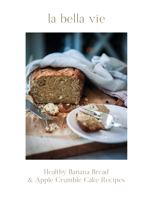# la bella vie



Healthy Banana Bread & Apple Crumble Cake Recipes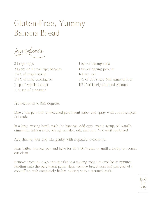### Gluten-Free, Yummy Banana Bread

Ingredients

3 Large eggs 3 Large or 4 small ripe bananas 1/4 C of maple syrup 1/4 C of mild cooking oil 1 tsp. of vanilla extract 1 1/2 tsp of cinnamon

1 tsp. of baking soda 1 tsp. of baking powder 1/4 tsp. salt 3 C of Bob's Red Mill Almond flour 1/2 C of finely chopped walnuts

Pre-heat oven to 350 degrees.

Line a loaf pan with unbleached parchment paper and spray with cooking spray. Set aside.

In a large mixing bowl, mash the bananas. Add eggs, maple syrup, oil, vanilla, cinnamon, baking soda, baking powder, salt, and nuts. Mix until combined.

Add almond flour and mix gently with a spatula to combine.

Pour batter into loaf pan and bake for 55-6 0minutes, or until a toothpick comes out clean.

Remove from the oven and transfer to a cooling rack. Let cool for 15 minutes. Holding onto the parchment paper flaps, remove bread from loaf pan and let it cool off on rack completely before cutting with a serrated knife.